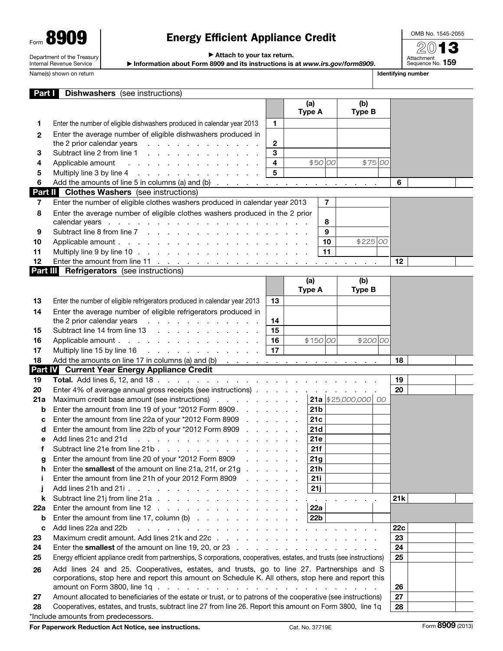Form **8909** Department of the Treasury Internal Revenue Service

# Energy Efficient Appliance Credit

▶ Attach to your tax return.

▶ Information about Form 8909 and its instructions is at *www.irs.gov/form8909*.

OMB No. 1545-2055 2013

Attachment<br>Sequence No. **159** 

| Name(s) shown on return | Identifving number |
|-------------------------|--------------------|
|-------------------------|--------------------|

| Part I       | <b>Dishwashers</b> (see instructions)                                                                                                                                                                                          |                         |                 |                |                    |     |  |
|--------------|--------------------------------------------------------------------------------------------------------------------------------------------------------------------------------------------------------------------------------|-------------------------|-----------------|----------------|--------------------|-----|--|
|              |                                                                                                                                                                                                                                |                         | (a)             |                | (b)                |     |  |
|              |                                                                                                                                                                                                                                |                         | <b>Type A</b>   |                | <b>Type B</b>      |     |  |
| 1.           | Enter the number of eligible dishwashers produced in calendar year 2013                                                                                                                                                        | 1                       |                 |                |                    |     |  |
| $\mathbf{2}$ | Enter the average number of eligible dishwashers produced in                                                                                                                                                                   |                         |                 |                |                    |     |  |
|              | the 2 prior calendar years<br>and the contract of the contract of the                                                                                                                                                          | $\mathbf{2}$            |                 |                |                    |     |  |
| 3            | Subtract line 2 from line 1                                                                                                                                                                                                    | 3                       |                 |                |                    |     |  |
| 4            | Applicable amount<br>the contract of the contract of the contract of the contract of the contract of the contract of the contract of                                                                                           | $\overline{\mathbf{4}}$ |                 | \$50 00        | \$75 00            |     |  |
| 5            |                                                                                                                                                                                                                                | 5                       |                 |                |                    |     |  |
| 6            |                                                                                                                                                                                                                                |                         |                 |                |                    | 6   |  |
|              | <b>Part II</b> Clothes Washers (see instructions)                                                                                                                                                                              |                         |                 |                |                    |     |  |
| 7            | Enter the number of eligible clothes washers produced in calendar year 2013                                                                                                                                                    |                         |                 | $\overline{7}$ |                    |     |  |
| 8            | Enter the average number of eligible clothes washers produced in the 2 prior                                                                                                                                                   |                         |                 |                |                    |     |  |
|              |                                                                                                                                                                                                                                |                         |                 | 8              |                    |     |  |
| 9            |                                                                                                                                                                                                                                |                         |                 | 9              |                    |     |  |
| 10           |                                                                                                                                                                                                                                |                         |                 | 10             | \$225 00           |     |  |
| 11           |                                                                                                                                                                                                                                |                         |                 | 11             |                    |     |  |
| 12           |                                                                                                                                                                                                                                |                         |                 |                |                    | 12  |  |
|              | <b>Part III</b> Refrigerators (see instructions)                                                                                                                                                                               |                         |                 |                |                    |     |  |
|              |                                                                                                                                                                                                                                |                         | (a)             |                | (b)                |     |  |
|              |                                                                                                                                                                                                                                |                         | <b>Type A</b>   |                | <b>Type B</b>      |     |  |
| 13           | Enter the number of eligible refrigerators produced in calendar year 2013                                                                                                                                                      | 13                      |                 |                |                    |     |  |
| 14           | Enter the average number of eligible refrigerators produced in                                                                                                                                                                 |                         |                 |                |                    |     |  |
|              | the 2 prior calendar years<br>the contract of the contract of the con-                                                                                                                                                         | 14                      |                 |                |                    |     |  |
| 15           | Subtract line 14 from line 13                                                                                                                                                                                                  | 15                      |                 |                |                    |     |  |
| 16           | Applicable amount                                                                                                                                                                                                              | 16                      |                 | \$150 00       | \$200 00           |     |  |
| 17           | Multiply line 15 by line 16 \cdots response to the set of the 16 \cdots response to the 16 \cdots response to the 16 \cdots response to the 16 \cdots response to the 16 \cdots response to the 16 \cdots response to the 16 \ | 17                      |                 |                |                    |     |  |
| 18           | Add the amounts on line 17 in columns (a) and (b) $\ldots$ $\ldots$ $\ldots$ $\ldots$ $\ldots$ $\ldots$                                                                                                                        |                         |                 |                |                    | 18  |  |
|              | Part IV Current Year Energy Appliance Credit                                                                                                                                                                                   |                         |                 |                |                    |     |  |
| 19           |                                                                                                                                                                                                                                |                         |                 |                |                    | 19  |  |
| 20           | Enter 4% of average annual gross receipts (see instructions)                                                                                                                                                                   |                         |                 |                | 21a $ $25,000,000$ | 20  |  |
| 21a          | Maximum credit base amount (see instructions)                                                                                                                                                                                  |                         |                 |                | - 00               |     |  |
| b            | Enter the amount from line 19 of your *2012 Form 8909                                                                                                                                                                          |                         | 21 <sub>b</sub> |                |                    |     |  |
| с            | Enter the amount from line 22a of your *2012 Form 8909<br>Enter the amount from line 22b of your *2012 Form 8909                                                                                                               |                         | 21c<br>21d      |                |                    |     |  |
| d            | Add lines 21c and 21d                                                                                                                                                                                                          |                         | 21e             |                |                    |     |  |
| е<br>f       | Subtract line 21e from line 21b.                                                                                                                                                                                               |                         | 21f             |                |                    |     |  |
|              | Enter the amount from line 20 of your *2012 Form 8909<br>and a straight                                                                                                                                                        |                         | 21g             |                |                    |     |  |
| g<br>h       | Enter the <b>smallest</b> of the amount on line 21a, 21f, or 21g                                                                                                                                                               |                         | 21h             |                |                    |     |  |
| j.           | Enter the amount from line 21h of your 2012 Form 8909                                                                                                                                                                          |                         | <b>21i</b>      |                |                    |     |  |
| j            |                                                                                                                                                                                                                                |                         | 21j             |                |                    |     |  |
| k            |                                                                                                                                                                                                                                |                         |                 |                |                    | 21k |  |
| 22a          | Enter the amount from line 12                                                                                                                                                                                                  |                         | 22a             |                |                    |     |  |
| b            | Enter the amount from line 17, column (b) $\ldots$ $\ldots$ $\ldots$ $\ldots$ $\ldots$                                                                                                                                         |                         | 22b             |                |                    |     |  |
| C            | Add lines 22a and 22b<br>والمتحاول والمتحاول والمتحاول والمتحاول والمتحاول والمتحاول والمتحاول والمتحاولة                                                                                                                      |                         |                 |                |                    | 22c |  |
| 23           |                                                                                                                                                                                                                                |                         |                 |                |                    | 23  |  |
| 24           | Enter the smallest of the amount on line 19, 20, or 23                                                                                                                                                                         |                         |                 |                |                    | 24  |  |
| 25           | Energy efficient appliance credit from partnerships, S corporations, cooperatives, estates, and trusts (see instructions)                                                                                                      |                         |                 |                |                    | 25  |  |
|              |                                                                                                                                                                                                                                |                         |                 |                |                    |     |  |
| 26           | Add lines 24 and 25. Cooperatives, estates, and trusts, go to line 27. Partnerships and S<br>corporations, stop here and report this amount on Schedule K. All others, stop here and report this                               |                         |                 |                |                    |     |  |
|              | amount on Form 3800, line $1q \cdot q + q \cdot q + q \cdot q$                                                                                                                                                                 |                         |                 |                |                    | 26  |  |
| 27           | Amount allocated to beneficiaries of the estate or trust, or to patrons of the cooperative (see instructions)                                                                                                                  |                         |                 |                |                    | 27  |  |
| 28           | Cooperatives, estates, and trusts, subtract line 27 from line 26. Report this amount on Form 3800, line 1q                                                                                                                     |                         |                 |                |                    |     |  |
|              | *Include amounts from predecessors.                                                                                                                                                                                            |                         |                 |                |                    | 28  |  |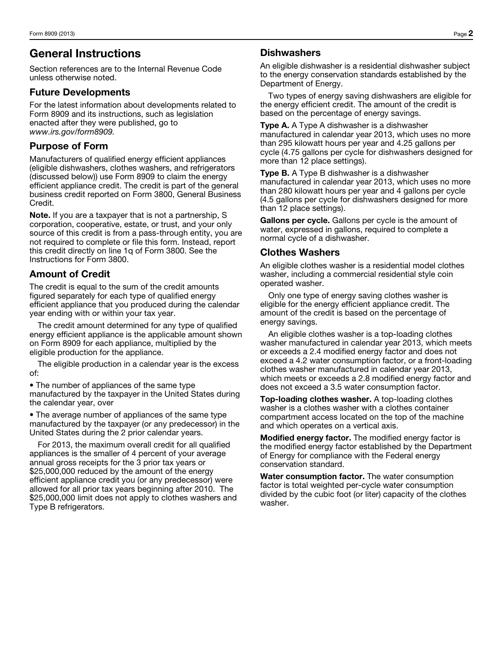## General Instructions

Section references are to the Internal Revenue Code unless otherwise noted.

#### Future Developments

For the latest information about developments related to Form 8909 and its instructions, such as legislation enacted after they were published, go to *www.irs.gov/form8909.*

## Purpose of Form

Manufacturers of qualified energy efficient appliances (eligible dishwashers, clothes washers, and refrigerators (discussed below)) use Form 8909 to claim the energy efficient appliance credit. The credit is part of the general business credit reported on Form 3800, General Business Credit.

Note. If you are a taxpayer that is not a partnership, S corporation, cooperative, estate, or trust, and your only source of this credit is from a pass-through entity, you are not required to complete or file this form. Instead, report this credit directly on line 1q of Form 3800. See the Instructions for Form 3800.

### Amount of Credit

The credit is equal to the sum of the credit amounts figured separately for each type of qualified energy efficient appliance that you produced during the calendar year ending with or within your tax year.

The credit amount determined for any type of qualified energy efficient appliance is the applicable amount shown on Form 8909 for each appliance, multiplied by the eligible production for the appliance.

The eligible production in a calendar year is the excess of:

• The number of appliances of the same type manufactured by the taxpayer in the United States during the calendar year, over

• The average number of appliances of the same type manufactured by the taxpayer (or any predecessor) in the United States during the 2 prior calendar years.

For 2013, the maximum overall credit for all qualified appliances is the smaller of 4 percent of your average annual gross receipts for the 3 prior tax years or \$25,000,000 reduced by the amount of the energy efficient appliance credit you (or any predecessor) were allowed for all prior tax years beginning after 2010. The \$25,000,000 limit does not apply to clothes washers and Type B refrigerators.

### **Dishwashers**

An eligible dishwasher is a residential dishwasher subject to the energy conservation standards established by the Department of Energy.

Two types of energy saving dishwashers are eligible for the energy efficient credit. The amount of the credit is based on the percentage of energy savings.

**Type A.** A Type A dishwasher is a dishwasher manufactured in calendar year 2013, which uses no more than 295 kilowatt hours per year and 4.25 gallons per cycle (4.75 gallons per cycle for dishwashers designed for more than 12 place settings).

**Type B.** A Type B dishwasher is a dishwasher manufactured in calendar year 2013, which uses no more than 280 kilowatt hours per year and 4 gallons per cycle (4.5 gallons per cycle for dishwashers designed for more than 12 place settings).

Gallons per cycle. Gallons per cycle is the amount of water, expressed in gallons, required to complete a normal cycle of a dishwasher.

### Clothes Washers

An eligible clothes washer is a residential model clothes washer, including a commercial residential style coin operated washer.

Only one type of energy saving clothes washer is eligible for the energy efficient appliance credit. The amount of the credit is based on the percentage of energy savings.

An eligible clothes washer is a top-loading clothes washer manufactured in calendar year 2013, which meets or exceeds a 2.4 modified energy factor and does not exceed a 4.2 water consumption factor, or a front-loading clothes washer manufactured in calendar year 2013, which meets or exceeds a 2.8 modified energy factor and does not exceed a 3.5 water consumption factor.

Top-loading clothes washer. A top-loading clothes washer is a clothes washer with a clothes container compartment access located on the top of the machine and which operates on a vertical axis.

Modified energy factor. The modified energy factor is the modified energy factor established by the Department of Energy for compliance with the Federal energy conservation standard.

Water consumption factor. The water consumption factor is total weighted per-cycle water consumption divided by the cubic foot (or liter) capacity of the clothes washer.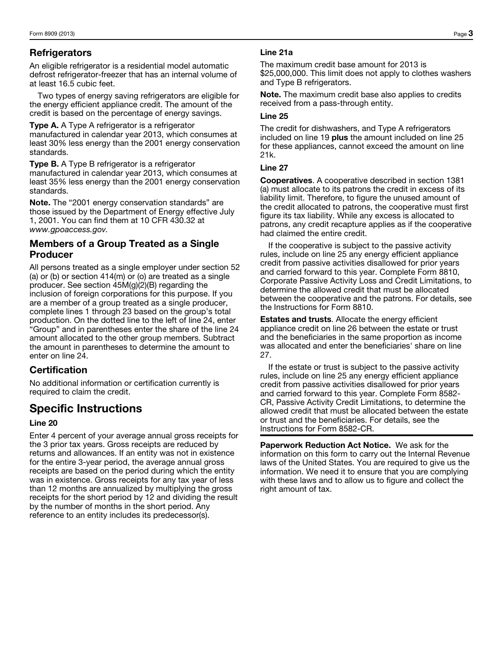## **Refrigerators**

An eligible refrigerator is a residential model automatic defrost refrigerator-freezer that has an internal volume of at least 16.5 cubic feet.

Two types of energy saving refrigerators are eligible for the energy efficient appliance credit. The amount of the credit is based on the percentage of energy savings.

Type A. A Type A refrigerator is a refrigerator manufactured in calendar year 2013, which consumes at least 30% less energy than the 2001 energy conservation standards.

**Type B.** A Type B refrigerator is a refrigerator manufactured in calendar year 2013, which consumes at least 35% less energy than the 2001 energy conservation standards.

Note. The "2001 energy conservation standards" are those issued by the Department of Energy effective July 1, 2001. You can find them at 10 CFR 430.32 at *www.gpoaccess.gov.*

#### Members of a Group Treated as a Single Producer

All persons treated as a single employer under section 52 (a) or (b) or section  $414(m)$  or (o) are treated as a single producer. See section 45M(g)(2)(B) regarding the inclusion of foreign corporations for this purpose. If you are a member of a group treated as a single producer, complete lines 1 through 23 based on the group's total production. On the dotted line to the left of line 24, enter "Group" and in parentheses enter the share of the line 24 amount allocated to the other group members. Subtract the amount in parentheses to determine the amount to enter on line 24.

## **Certification**

No additional information or certification currently is required to claim the credit.

## Specific Instructions

#### Line 20

Enter 4 percent of your average annual gross receipts for the 3 prior tax years. Gross receipts are reduced by returns and allowances. If an entity was not in existence for the entire 3-year period, the average annual gross receipts are based on the period during which the entity was in existence. Gross receipts for any tax year of less than 12 months are annualized by multiplying the gross receipts for the short period by 12 and dividing the result by the number of months in the short period. Any reference to an entity includes its predecessor(s).

#### Line 21a

The maximum credit base amount for 2013 is \$25,000,000. This limit does not apply to clothes washers and Type B refrigerators.

Note. The maximum credit base also applies to credits received from a pass-through entity.

#### Line 25

The credit for dishwashers, and Type A refrigerators included on line 19 plus the amount included on line 25 for these appliances, cannot exceed the amount on line 21k.

#### Line 27

Cooperatives. A cooperative described in section 1381 (a) must allocate to its patrons the credit in excess of its liability limit. Therefore, to figure the unused amount of the credit allocated to patrons, the cooperative must first figure its tax liability. While any excess is allocated to patrons, any credit recapture applies as if the cooperative had claimed the entire credit.

If the cooperative is subject to the passive activity rules, include on line 25 any energy efficient appliance credit from passive activities disallowed for prior years and carried forward to this year. Complete Form 8810, Corporate Passive Activity Loss and Credit Limitations, to determine the allowed credit that must be allocated between the cooperative and the patrons. For details, see the Instructions for Form 8810.

Estates and trusts. Allocate the energy efficient appliance credit on line 26 between the estate or trust and the beneficiaries in the same proportion as income was allocated and enter the beneficiaries' share on line 27.

If the estate or trust is subject to the passive activity rules, include on line 25 any energy efficient appliance credit from passive activities disallowed for prior years and carried forward to this year. Complete Form 8582- CR, Passive Activity Credit Limitations, to determine the allowed credit that must be allocated between the estate or trust and the beneficiaries. For details, see the Instructions for Form 8582-CR.

Paperwork Reduction Act Notice. We ask for the information on this form to carry out the Internal Revenue laws of the United States. You are required to give us the information. We need it to ensure that you are complying with these laws and to allow us to figure and collect the right amount of tax.